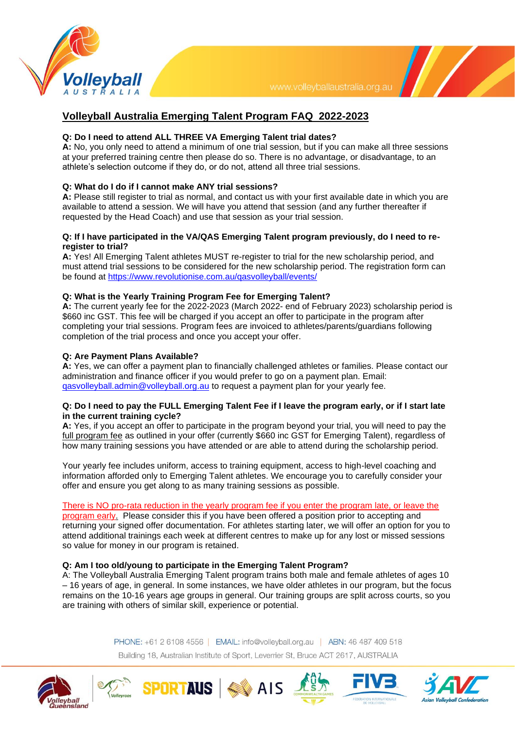

 $\mathcal{U}$ 

# **Volleyball Australia Emerging Talent Program FAQ 2022-2023**

# **Q: Do I need to attend ALL THREE VA Emerging Talent trial dates?**

**A:** No, you only need to attend a minimum of one trial session, but if you can make all three sessions at your preferred training centre then please do so. There is no advantage, or disadvantage, to an athlete's selection outcome if they do, or do not, attend all three trial sessions.

# **Q: What do I do if I cannot make ANY trial sessions?**

**A:** Please still register to trial as normal, and contact us with your first available date in which you are available to attend a session. We will have you attend that session (and any further thereafter if requested by the Head Coach) and use that session as your trial session.

# **Q: If I have participated in the VA/QAS Emerging Talent program previously, do I need to reregister to trial?**

**A:** Yes! All Emerging Talent athletes MUST re-register to trial for the new scholarship period, and must attend trial sessions to be considered for the new scholarship period. The registration form can be found at <https://www.revolutionise.com.au/qasvolleyball/events/>

# **Q: What is the Yearly Training Program Fee for Emerging Talent?**

**A:** The current yearly fee for the 2022-2023 (March 2022- end of February 2023) scholarship period is \$660 inc GST. This fee will be charged if you accept an offer to participate in the program after completing your trial sessions. Program fees are invoiced to athletes/parents/guardians following completion of the trial process and once you accept your offer.

# **Q: Are Payment Plans Available?**

**A:** Yes, we can offer a payment plan to financially challenged athletes or families. Please contact our administration and finance officer if you would prefer to go on a payment plan. Email: [qasvolleyball.admin@volleyball.org.au](mailto:qasvolleyball.admin@volleyball.org.au) to request a payment plan for your yearly fee.

### **Q: Do I need to pay the FULL Emerging Talent Fee if I leave the program early, or if I start late in the current training cycle?**

**A:** Yes, if you accept an offer to participate in the program beyond your trial, you will need to pay the full program fee as outlined in your offer (currently \$660 inc GST for Emerging Talent), regardless of how many training sessions you have attended or are able to attend during the scholarship period.

Your yearly fee includes uniform, access to training equipment, access to high-level coaching and information afforded only to Emerging Talent athletes. We encourage you to carefully consider your offer and ensure you get along to as many training sessions as possible.

# There is NO pro-rata reduction in the yearly program fee if you enter the program late, or leave the

program early. Please consider this if you have been offered a position prior to accepting and returning your signed offer documentation. For athletes starting later, we will offer an option for you to attend additional trainings each week at different centres to make up for any lost or missed sessions so value for money in our program is retained.

# **Q: Am I too old/young to participate in the Emerging Talent Program?**

**SPORTAUS** & AIS

A: The Volleyball Australia Emerging Talent program trains both male and female athletes of ages 10 – 16 years of age, in general. In some instances, we have older athletes in our program, but the focus remains on the 10-16 years age groups in general. Our training groups are split across courts, so you are training with others of similar skill, experience or potential.

> PHONE: +61 2 6108 4556 | EMAIL: info@volleyball.org.au | ABN: 46 487 409 518 Building 18, Australian Institute of Sport, Leverrier St, Bruce ACT 2617, AUSTRALIA



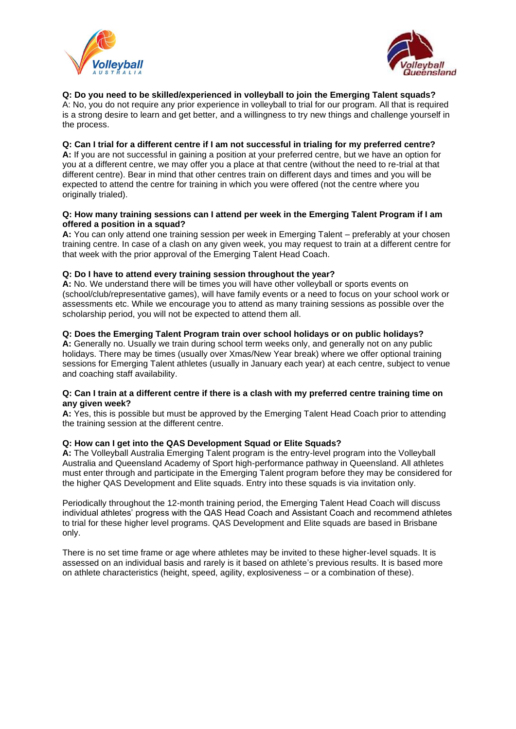



**Q: Do you need to be skilled/experienced in volleyball to join the Emerging Talent squads?** A: No, you do not require any prior experience in volleyball to trial for our program. All that is required is a strong desire to learn and get better, and a willingness to try new things and challenge yourself in the process.

# **Q: Can I trial for a different centre if I am not successful in trialing for my preferred centre?**

**A:** If you are not successful in gaining a position at your preferred centre, but we have an option for you at a different centre, we may offer you a place at that centre (without the need to re-trial at that different centre). Bear in mind that other centres train on different days and times and you will be expected to attend the centre for training in which you were offered (not the centre where you originally trialed).

#### **Q: How many training sessions can I attend per week in the Emerging Talent Program if I am offered a position in a squad?**

**A:** You can only attend one training session per week in Emerging Talent – preferably at your chosen training centre. In case of a clash on any given week, you may request to train at a different centre for that week with the prior approval of the Emerging Talent Head Coach.

### **Q: Do I have to attend every training session throughout the year?**

**A:** No. We understand there will be times you will have other volleyball or sports events on (school/club/representative games), will have family events or a need to focus on your school work or assessments etc. While we encourage you to attend as many training sessions as possible over the scholarship period, you will not be expected to attend them all.

### **Q: Does the Emerging Talent Program train over school holidays or on public holidays?**

**A:** Generally no. Usually we train during school term weeks only, and generally not on any public holidays. There may be times (usually over Xmas/New Year break) where we offer optional training sessions for Emerging Talent athletes (usually in January each year) at each centre, subject to venue and coaching staff availability.

### **Q: Can I train at a different centre if there is a clash with my preferred centre training time on any given week?**

**A:** Yes, this is possible but must be approved by the Emerging Talent Head Coach prior to attending the training session at the different centre.

### **Q: How can I get into the QAS Development Squad or Elite Squads?**

**A:** The Volleyball Australia Emerging Talent program is the entry-level program into the Volleyball Australia and Queensland Academy of Sport high-performance pathway in Queensland. All athletes must enter through and participate in the Emerging Talent program before they may be considered for the higher QAS Development and Elite squads. Entry into these squads is via invitation only.

Periodically throughout the 12-month training period, the Emerging Talent Head Coach will discuss individual athletes' progress with the QAS Head Coach and Assistant Coach and recommend athletes to trial for these higher level programs. QAS Development and Elite squads are based in Brisbane only.

There is no set time frame or age where athletes may be invited to these higher-level squads. It is assessed on an individual basis and rarely is it based on athlete's previous results. It is based more on athlete characteristics (height, speed, agility, explosiveness – or a combination of these).